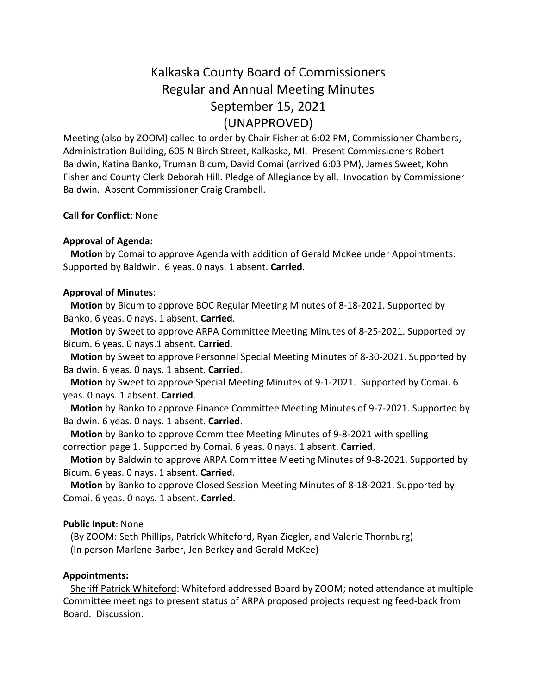# Kalkaska County Board of Commissioners Regular and Annual Meeting Minutes September 15, 2021 (UNAPPROVED)

Meeting (also by ZOOM) called to order by Chair Fisher at 6:02 PM, Commissioner Chambers, Administration Building, 605 N Birch Street, Kalkaska, MI. Present Commissioners Robert Baldwin, Katina Banko, Truman Bicum, David Comai (arrived 6:03 PM), James Sweet, Kohn Fisher and County Clerk Deborah Hill. Pledge of Allegiance by all. Invocation by Commissioner Baldwin. Absent Commissioner Craig Crambell.

# **Call for Conflict**: None

#### **Approval of Agenda:**

 **Motion** by Comai to approve Agenda with addition of Gerald McKee under Appointments. Supported by Baldwin. 6 yeas. 0 nays. 1 absent. **Carried**.

#### **Approval of Minutes**:

 **Motion** by Bicum to approve BOC Regular Meeting Minutes of 8-18-2021. Supported by Banko. 6 yeas. 0 nays. 1 absent. **Carried**.

 **Motion** by Sweet to approve ARPA Committee Meeting Minutes of 8-25-2021. Supported by Bicum. 6 yeas. 0 nays.1 absent. **Carried**.

 **Motion** by Sweet to approve Personnel Special Meeting Minutes of 8-30-2021. Supported by Baldwin. 6 yeas. 0 nays. 1 absent. **Carried**.

 **Motion** by Sweet to approve Special Meeting Minutes of 9-1-2021. Supported by Comai. 6 yeas. 0 nays. 1 absent. **Carried**.

 **Motion** by Banko to approve Finance Committee Meeting Minutes of 9-7-2021. Supported by Baldwin. 6 yeas. 0 nays. 1 absent. **Carried**.

 **Motion** by Banko to approve Committee Meeting Minutes of 9-8-2021 with spelling correction page 1. Supported by Comai. 6 yeas. 0 nays. 1 absent. **Carried**.

 **Motion** by Baldwin to approve ARPA Committee Meeting Minutes of 9-8-2021. Supported by Bicum. 6 yeas. 0 nays. 1 absent. **Carried**.

 **Motion** by Banko to approve Closed Session Meeting Minutes of 8-18-2021. Supported by Comai. 6 yeas. 0 nays. 1 absent. **Carried**.

#### **Public Input**: None

 (By ZOOM: Seth Phillips, Patrick Whiteford, Ryan Ziegler, and Valerie Thornburg) (In person Marlene Barber, Jen Berkey and Gerald McKee)

#### **Appointments:**

Sheriff Patrick Whiteford: Whiteford addressed Board by ZOOM; noted attendance at multiple Committee meetings to present status of ARPA proposed projects requesting feed-back from Board. Discussion.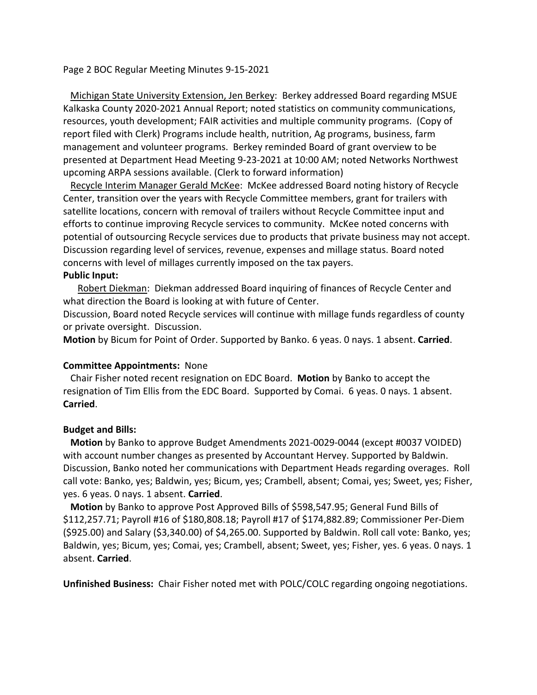Page 2 BOC Regular Meeting Minutes 9-15-2021

 Michigan State University Extension, Jen Berkey: Berkey addressed Board regarding MSUE Kalkaska County 2020-2021 Annual Report; noted statistics on community communications, resources, youth development; FAIR activities and multiple community programs. (Copy of report filed with Clerk) Programs include health, nutrition, Ag programs, business, farm management and volunteer programs. Berkey reminded Board of grant overview to be presented at Department Head Meeting 9-23-2021 at 10:00 AM; noted Networks Northwest upcoming ARPA sessions available. (Clerk to forward information)

 Recycle Interim Manager Gerald McKee: McKee addressed Board noting history of Recycle Center, transition over the years with Recycle Committee members, grant for trailers with satellite locations, concern with removal of trailers without Recycle Committee input and efforts to continue improving Recycle services to community. McKee noted concerns with potential of outsourcing Recycle services due to products that private business may not accept. Discussion regarding level of services, revenue, expenses and millage status. Board noted concerns with level of millages currently imposed on the tax payers.

# **Public Input:**

 Robert Diekman: Diekman addressed Board inquiring of finances of Recycle Center and what direction the Board is looking at with future of Center.

Discussion, Board noted Recycle services will continue with millage funds regardless of county or private oversight. Discussion.

**Motion** by Bicum for Point of Order. Supported by Banko. 6 yeas. 0 nays. 1 absent. **Carried**.

# **Committee Appointments:** None

 Chair Fisher noted recent resignation on EDC Board. **Motion** by Banko to accept the resignation of Tim Ellis from the EDC Board. Supported by Comai. 6 yeas. 0 nays. 1 absent. **Carried**.

# **Budget and Bills:**

 **Motion** by Banko to approve Budget Amendments 2021-0029-0044 (except #0037 VOIDED) with account number changes as presented by Accountant Hervey. Supported by Baldwin. Discussion, Banko noted her communications with Department Heads regarding overages. Roll call vote: Banko, yes; Baldwin, yes; Bicum, yes; Crambell, absent; Comai, yes; Sweet, yes; Fisher, yes. 6 yeas. 0 nays. 1 absent. **Carried**.

 **Motion** by Banko to approve Post Approved Bills of \$598,547.95; General Fund Bills of \$112,257.71; Payroll #16 of \$180,808.18; Payroll #17 of \$174,882.89; Commissioner Per-Diem (\$925.00) and Salary (\$3,340.00) of \$4,265.00. Supported by Baldwin. Roll call vote: Banko, yes; Baldwin, yes; Bicum, yes; Comai, yes; Crambell, absent; Sweet, yes; Fisher, yes. 6 yeas. 0 nays. 1 absent. **Carried**.

**Unfinished Business:** Chair Fisher noted met with POLC/COLC regarding ongoing negotiations.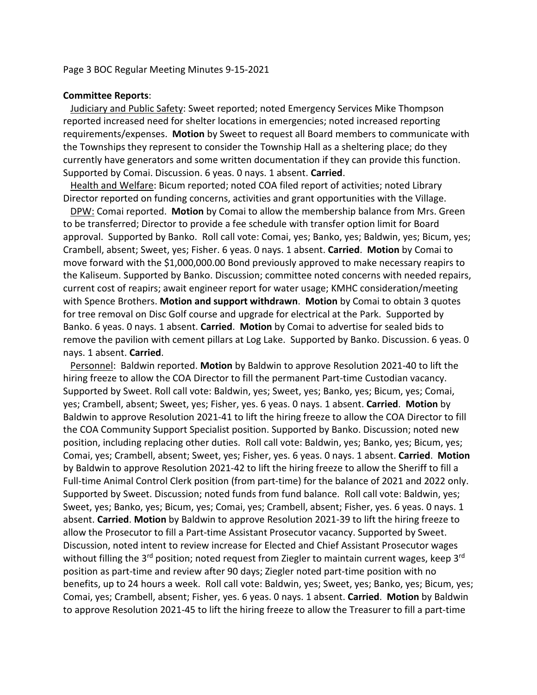#### **Committee Reports**:

 Judiciary and Public Safety: Sweet reported; noted Emergency Services Mike Thompson reported increased need for shelter locations in emergencies; noted increased reporting requirements/expenses. **Motion** by Sweet to request all Board members to communicate with the Townships they represent to consider the Township Hall as a sheltering place; do they currently have generators and some written documentation if they can provide this function. Supported by Comai. Discussion. 6 yeas. 0 nays. 1 absent. **Carried**.

 Health and Welfare: Bicum reported; noted COA filed report of activities; noted Library Director reported on funding concerns, activities and grant opportunities with the Village.

 DPW: Comai reported. **Motion** by Comai to allow the membership balance from Mrs. Green to be transferred; Director to provide a fee schedule with transfer option limit for Board approval. Supported by Banko. Roll call vote: Comai, yes; Banko, yes; Baldwin, yes; Bicum, yes; Crambell, absent; Sweet, yes; Fisher. 6 yeas. 0 nays. 1 absent. **Carried**. **Motion** by Comai to move forward with the \$1,000,000.00 Bond previously approved to make necessary reapirs to the Kaliseum. Supported by Banko. Discussion; committee noted concerns with needed repairs, current cost of reapirs; await engineer report for water usage; KMHC consideration/meeting with Spence Brothers. **Motion and support withdrawn**. **Motion** by Comai to obtain 3 quotes for tree removal on Disc Golf course and upgrade for electrical at the Park. Supported by Banko. 6 yeas. 0 nays. 1 absent. **Carried**. **Motion** by Comai to advertise for sealed bids to remove the pavilion with cement pillars at Log Lake. Supported by Banko. Discussion. 6 yeas. 0 nays. 1 absent. **Carried**.

 Personnel: Baldwin reported. **Motion** by Baldwin to approve Resolution 2021-40 to lift the hiring freeze to allow the COA Director to fill the permanent Part-time Custodian vacancy. Supported by Sweet. Roll call vote: Baldwin, yes; Sweet, yes; Banko, yes; Bicum, yes; Comai, yes; Crambell, absent; Sweet, yes; Fisher, yes. 6 yeas. 0 nays. 1 absent. **Carried**. **Motion** by Baldwin to approve Resolution 2021-41 to lift the hiring freeze to allow the COA Director to fill the COA Community Support Specialist position. Supported by Banko. Discussion; noted new position, including replacing other duties. Roll call vote: Baldwin, yes; Banko, yes; Bicum, yes; Comai, yes; Crambell, absent; Sweet, yes; Fisher, yes. 6 yeas. 0 nays. 1 absent. **Carried**. **Motion** by Baldwin to approve Resolution 2021-42 to lift the hiring freeze to allow the Sheriff to fill a Full-time Animal Control Clerk position (from part-time) for the balance of 2021 and 2022 only. Supported by Sweet. Discussion; noted funds from fund balance. Roll call vote: Baldwin, yes; Sweet, yes; Banko, yes; Bicum, yes; Comai, yes; Crambell, absent; Fisher, yes. 6 yeas. 0 nays. 1 absent. **Carried**. **Motion** by Baldwin to approve Resolution 2021-39 to lift the hiring freeze to allow the Prosecutor to fill a Part-time Assistant Prosecutor vacancy. Supported by Sweet. Discussion, noted intent to review increase for Elected and Chief Assistant Prosecutor wages without filling the 3<sup>rd</sup> position; noted request from Ziegler to maintain current wages, keep 3<sup>rd</sup> position as part-time and review after 90 days; Ziegler noted part-time position with no benefits, up to 24 hours a week. Roll call vote: Baldwin, yes; Sweet, yes; Banko, yes; Bicum, yes; Comai, yes; Crambell, absent; Fisher, yes. 6 yeas. 0 nays. 1 absent. **Carried**. **Motion** by Baldwin to approve Resolution 2021-45 to lift the hiring freeze to allow the Treasurer to fill a part-time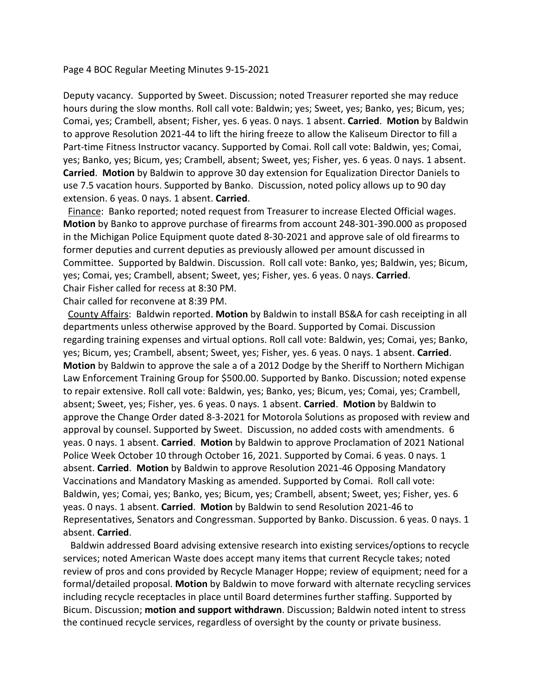#### Page 4 BOC Regular Meeting Minutes 9-15-2021

Deputy vacancy. Supported by Sweet. Discussion; noted Treasurer reported she may reduce hours during the slow months. Roll call vote: Baldwin; yes; Sweet, yes; Banko, yes; Bicum, yes; Comai, yes; Crambell, absent; Fisher, yes. 6 yeas. 0 nays. 1 absent. **Carried**. **Motion** by Baldwin to approve Resolution 2021-44 to lift the hiring freeze to allow the Kaliseum Director to fill a Part-time Fitness Instructor vacancy. Supported by Comai. Roll call vote: Baldwin, yes; Comai, yes; Banko, yes; Bicum, yes; Crambell, absent; Sweet, yes; Fisher, yes. 6 yeas. 0 nays. 1 absent. **Carried**. **Motion** by Baldwin to approve 30 day extension for Equalization Director Daniels to use 7.5 vacation hours. Supported by Banko. Discussion, noted policy allows up to 90 day extension. 6 yeas. 0 nays. 1 absent. **Carried**.

Finance: Banko reported; noted request from Treasurer to increase Elected Official wages. **Motion** by Banko to approve purchase of firearms from account 248-301-390.000 as proposed in the Michigan Police Equipment quote dated 8-30-2021 and approve sale of old firearms to former deputies and current deputies as previously allowed per amount discussed in Committee. Supported by Baldwin. Discussion. Roll call vote: Banko, yes; Baldwin, yes; Bicum, yes; Comai, yes; Crambell, absent; Sweet, yes; Fisher, yes. 6 yeas. 0 nays. **Carried**. Chair Fisher called for recess at 8:30 PM.

Chair called for reconvene at 8:39 PM.

 County Affairs: Baldwin reported. **Motion** by Baldwin to install BS&A for cash receipting in all departments unless otherwise approved by the Board. Supported by Comai. Discussion regarding training expenses and virtual options. Roll call vote: Baldwin, yes; Comai, yes; Banko, yes; Bicum, yes; Crambell, absent; Sweet, yes; Fisher, yes. 6 yeas. 0 nays. 1 absent. **Carried**. **Motion** by Baldwin to approve the sale a of a 2012 Dodge by the Sheriff to Northern Michigan Law Enforcement Training Group for \$500.00. Supported by Banko. Discussion; noted expense to repair extensive. Roll call vote: Baldwin, yes; Banko, yes; Bicum, yes; Comai, yes; Crambell, absent; Sweet, yes; Fisher, yes. 6 yeas. 0 nays. 1 absent. **Carried**. **Motion** by Baldwin to approve the Change Order dated 8-3-2021 for Motorola Solutions as proposed with review and approval by counsel. Supported by Sweet. Discussion, no added costs with amendments. 6 yeas. 0 nays. 1 absent. **Carried**. **Motion** by Baldwin to approve Proclamation of 2021 National Police Week October 10 through October 16, 2021. Supported by Comai. 6 yeas. 0 nays. 1 absent. **Carried**. **Motion** by Baldwin to approve Resolution 2021-46 Opposing Mandatory Vaccinations and Mandatory Masking as amended. Supported by Comai. Roll call vote: Baldwin, yes; Comai, yes; Banko, yes; Bicum, yes; Crambell, absent; Sweet, yes; Fisher, yes. 6 yeas. 0 nays. 1 absent. **Carried**. **Motion** by Baldwin to send Resolution 2021-46 to Representatives, Senators and Congressman. Supported by Banko. Discussion. 6 yeas. 0 nays. 1 absent. **Carried**.

 Baldwin addressed Board advising extensive research into existing services/options to recycle services; noted American Waste does accept many items that current Recycle takes; noted review of pros and cons provided by Recycle Manager Hoppe; review of equipment; need for a formal/detailed proposal. **Motion** by Baldwin to move forward with alternate recycling services including recycle receptacles in place until Board determines further staffing. Supported by Bicum. Discussion; **motion and support withdrawn**. Discussion; Baldwin noted intent to stress the continued recycle services, regardless of oversight by the county or private business.